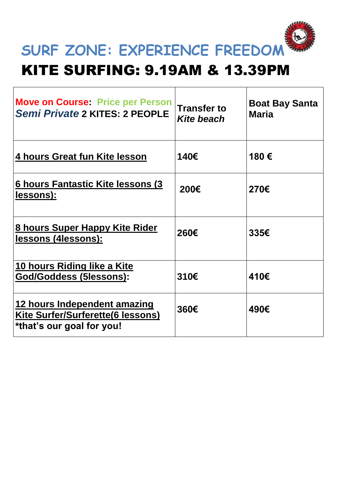

#### KITE SURFING: 9.19AM & 13.39PM

| <b>Move on Course: Price per Person</b><br>Semi Private 2 KITES: 2 PEOPLE                      | <b>Transfer to</b><br><b>Kite beach</b> | <b>Boat Bay Santa</b><br><b>Maria</b> |
|------------------------------------------------------------------------------------------------|-----------------------------------------|---------------------------------------|
| 4 hours Great fun Kite lesson                                                                  | 140€                                    | 180€                                  |
| 6 hours Fantastic Kite lessons (3<br>lessons):                                                 | 200€                                    | 270€                                  |
| 8 hours Super Happy Kite Rider<br>lessons (4lessons):                                          | 260€                                    | 335€                                  |
| 10 hours Riding like a Kite<br>God/Goddess (5lessons):                                         | 310€                                    | 410€                                  |
| 12 hours Independent amazing<br>Kite Surfer/Surferette(6 lessons)<br>*that's our goal for you! | 360€                                    | 490€                                  |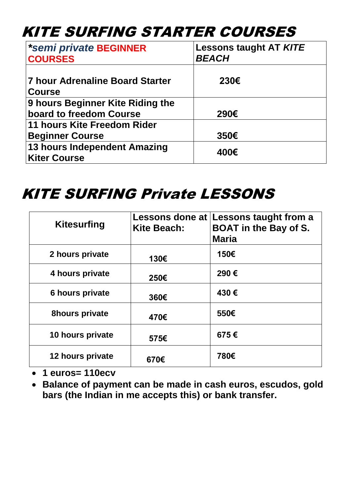## KITE SURFING STARTER COURSES

| *semi private BEGINNER<br><b>COURSES</b>                    | <b>Lessons taught AT KITE</b><br><b>BEACH</b> |
|-------------------------------------------------------------|-----------------------------------------------|
| <b>7 hour Adrenaline Board Starter</b><br><b>Course</b>     | 230€                                          |
| 9 hours Beginner Kite Riding the<br>board to freedom Course | 290€                                          |
| 11 hours Kite Freedom Rider<br><b>Beginner Course</b>       | 350€                                          |
| 13 hours Independent Amazing<br><b>Kiter Course</b>         | 400€                                          |

### KITE SURFING Private LESSONS

| <b>Kitesurfing</b>    | Lessons done at<br><b>Kite Beach:</b> | Lessons taught from a<br><b>BOAT in the Bay of S.</b><br><b>Maria</b> |
|-----------------------|---------------------------------------|-----------------------------------------------------------------------|
| 2 hours private       | 130€                                  | 150€                                                                  |
| 4 hours private       | 250€                                  | 290€                                                                  |
| 6 hours private       | 360€                                  | 430€                                                                  |
| <b>8hours private</b> | 470€                                  | 550€                                                                  |
| 10 hours private      | 575€                                  | 675€                                                                  |
| 12 hours private      | 670€                                  | 780€                                                                  |

- **1 euros= 110ecv**
- **Balance of payment can be made in cash euros, escudos, gold bars (the Indian in me accepts this) or bank transfer.**